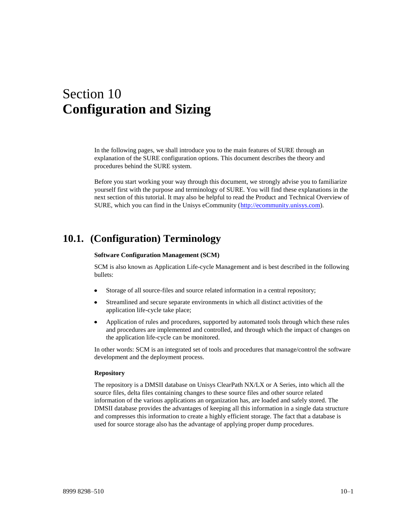# Section 10 **Configuration and Sizing**

In the following pages, we shall introduce you to the main features of SURE through an explanation of the SURE configuration options. This document describes the theory and procedures behind the SURE system.

Before you start working your way through this document, we strongly advise you to familiarize yourself first with the purpose and terminology of SURE. You will find these explanations in the next section of this tutorial. It may also be helpful to read the Product and Technical Overview of SURE, which you can find in the Unisys eCommunity [\(http://ecommunity.unisys.com\)](http://ecommunity.unisys.com/).

## **10.1. (Configuration) Terminology**

#### **Software Configuration Management (SCM)**

SCM is also known as Application Life-cycle Management and is best described in the following bullets:

- Storage of all source-files and source related information in a central repository;
- Streamlined and secure separate environments in which all distinct activities of the  $\bullet$ application life-cycle take place;
- $\bullet$ Application of rules and procedures, supported by automated tools through which these rules and procedures are implemented and controlled, and through which the impact of changes on the application life-cycle can be monitored.

In other words: SCM is an integrated set of tools and procedures that manage/control the software development and the deployment process.

#### **Repository**

The repository is a DMSII database on Unisys ClearPath NX/LX or A Series, into which all the source files, delta files containing changes to these source files and other source related information of the various applications an organization has, are loaded and safely stored. The DMSII database provides the advantages of keeping all this information in a single data structure and compresses this information to create a highly efficient storage. The fact that a database is used for source storage also has the advantage of applying proper dump procedures.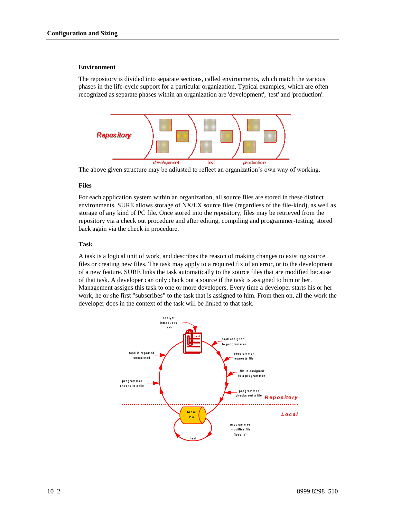#### **Environment**

The repository is divided into separate sections, called environments, which match the various phases in the life-cycle support for a particular organization. Typical examples, which are often recognized as separate phases within an organization are 'development', 'test' and 'production'.



The above given structure may be adjusted to reflect an organization's own way of working.

### **Files**

For each application system within an organization, all source files are stored in these distinct environments. SURE allows storage of NX/LX source files (regardless of the file-kind), as well as storage of any kind of PC file. Once stored into the repository, files may be retrieved from the repository via a check out procedure and after editing, compiling and programmer-testing, stored back again via the check in procedure.

### **Task**

A task is a logical unit of work, and describes the reason of making changes to existing source files or creating new files. The task may apply to a required fix of an error, or to the development of a new feature. SURE links the task automatically to the source files that are modified because of that task. A developer can only check out a source if the task is assigned to him or her. Management assigns this task to one or more developers. Every time a developer starts his or her work, he or she first "subscribes" to the task that is assigned to him. From then on, all the work the developer does in the context of the task will be linked to that task.

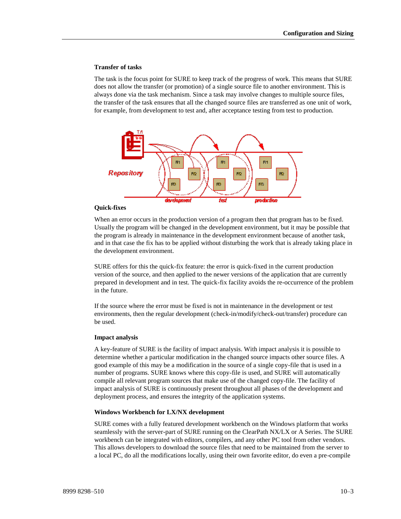#### **Transfer of tasks**

The task is the focus point for SURE to keep track of the progress of work. This means that SURE does not allow the transfer (or promotion) of a single source file to another environment. This is always done via the task mechanism. Since a task may involve changes to multiple source files, the transfer of the task ensures that all the changed source files are transferred as one unit of work, for example, from development to test and, after acceptance testing from test to production.



#### **Quick-fixes**

When an error occurs in the production version of a program then that program has to be fixed. Usually the program will be changed in the development environment, but it may be possible that the program is already in maintenance in the development environment because of another task, and in that case the fix has to be applied without disturbing the work that is already taking place in the development environment.

SURE offers for this the quick-fix feature: the error is quick-fixed in the current production version of the source, and then applied to the newer versions of the application that are currently prepared in development and in test. The quick-fix facility avoids the re-occurrence of the problem in the future.

If the source where the error must be fixed is not in maintenance in the development or test environments, then the regular development (check-in/modify/check-out/transfer) procedure can be used.

#### **Impact analysis**

A key-feature of SURE is the facility of impact analysis. With impact analysis it is possible to determine whether a particular modification in the changed source impacts other source files. A good example of this may be a modification in the source of a single copy-file that is used in a number of programs. SURE knows where this copy-file is used, and SURE will automatically compile all relevant program sources that make use of the changed copy-file. The facility of impact analysis of SURE is continuously present throughout all phases of the development and deployment process, and ensures the integrity of the application systems.

#### **Windows Workbench for LX/NX development**

SURE comes with a fully featured development workbench on the Windows platform that works seamlessly with the server-part of SURE running on the ClearPath NX/LX or A Series. The SURE workbench can be integrated with editors, compilers, and any other PC tool from other vendors. This allows developers to download the source files that need to be maintained from the server to a local PC, do all the modifications locally, using their own favorite editor, do even a pre-compile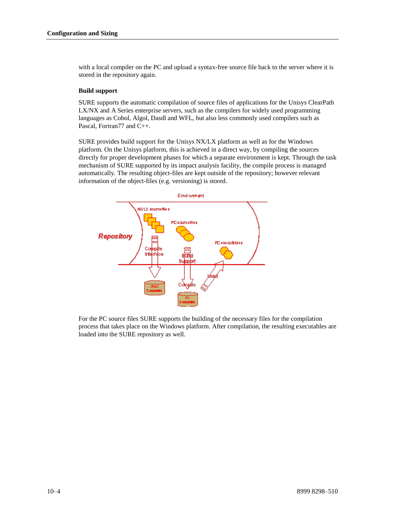with a local compiler on the PC and upload a syntax-free source file back to the server where it is stored in the repository again.

### **Build support**

SURE supports the automatic compilation of source files of applications for the Unisys ClearPath LX/NX and A Series enterprise servers, such as the compilers for widely used programming languages as Cobol, Algol, Dasdl and WFL, but also less commonly used compilers such as Pascal, Fortran77 and C++.

SURE provides build support for the Unisys NX/LX platform as well as for the Windows platform. On the Unisys platform, this is achieved in a direct way, by compiling the sources directly for proper development phases for which a separate environment is kept. Through the task mechanism of SURE supported by its impact analysis facility, the compile process is managed automatically. The resulting object-files are kept outside of the repository; however relevant information of the object-files (e.g. versioning) is stored.



For the PC source files SURE supports the building of the necessary files for the compilation process that takes place on the Windows platform. After compilation, the resulting executables are loaded into the SURE repository as well.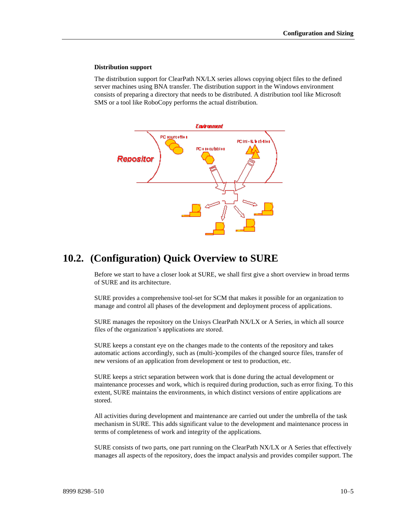#### **Distribution support**

The distribution support for ClearPath NX/LX series allows copying object files to the defined server machines using BNA transfer. The distribution support in the Windows environment consists of preparing a directory that needs to be distributed. A distribution tool like Microsoft SMS or a tool like RoboCopy performs the actual distribution.



## **10.2. (Configuration) Quick Overview to SURE**

Before we start to have a closer look at SURE, we shall first give a short overview in broad terms of SURE and its architecture.

SURE provides a comprehensive tool-set for SCM that makes it possible for an organization to manage and control all phases of the development and deployment process of applications.

SURE manages the repository on the Unisys ClearPath NX/LX or A Series, in which all source files of the organization's applications are stored.

SURE keeps a constant eye on the changes made to the contents of the repository and takes automatic actions accordingly, such as (multi-)compiles of the changed source files, transfer of new versions of an application from development or test to production, etc.

SURE keeps a strict separation between work that is done during the actual development or maintenance processes and work, which is required during production, such as error fixing. To this extent, SURE maintains the environments, in which distinct versions of entire applications are stored.

All activities during development and maintenance are carried out under the umbrella of the task mechanism in SURE. This adds significant value to the development and maintenance process in terms of completeness of work and integrity of the applications.

SURE consists of two parts, one part running on the ClearPath NX/LX or A Series that effectively manages all aspects of the repository, does the impact analysis and provides compiler support. The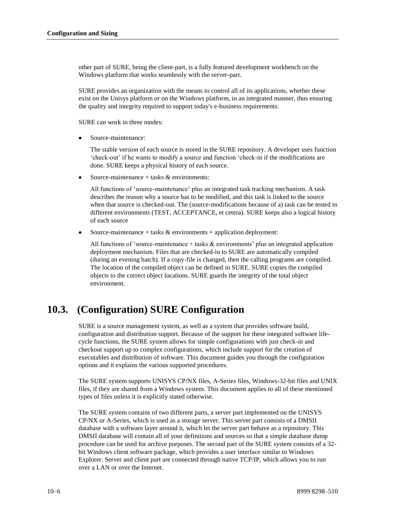other part of SURE, being the client-part, is a fully featured development workbench on the Windows platform that works seamlessly with the server-part.

SURE provides an organization with the means to control all of its applications, whether these exist on the Unisys platform or on the Windows platform, in an integrated manner, thus ensuring the quality and integrity required to support today's e-business requirements.

SURE can work in three modes:

Source-maintenance:

The stable version of each source is stored in the SURE repository. A developer uses function 'check-out' if he wants to modify a source and function 'check-in if the modifications are done. SURE keeps a physical history of each source.

Source-maintenance + tasks & environments:

All functions of 'source-maintenance' plus an integrated task tracking mechanism. A task describes the reason why a source has to be modified, and this task is linked to the source when that source is checked-out. The (source-modifications because of a) task can be tested in different environments (TEST, ACCEPTANCE, et cetera). SURE keeps also a logical history of each source

 $\bullet$ Source-maintenance + tasks  $&$  environments + application deployment:

All functions of 'source-maintenance  $+$  tasks  $\&$  environments' plus an integrated application deployment mechanism. Files that are checked-in to SURE are automatically compiled (during an evening batch). If a copy-file is changed, then the calling programs are compiled. The location of the compiled object can be defined in SURE. SURE copies the compiled objects to the correct object locations. SURE guards the integrity of the total object environment.

## **10.3. (Configuration) SURE Configuration**

SURE is a source management system, as well as a system that provides software build, configuration and distribution support. Because of the support for these integrated software lifecycle functions, the SURE system allows for simple configurations with just check-in and checkout support up to complex configurations, which include support for the creation of executables and distribution of software. This document guides you through the configuration options and it explains the various supported procedures.

The SURE system supports UNISYS CP/NX files, A-Series files, Windows-32-bit files and UNIX files, if they are shared from a Windows system. This document applies to all of these mentioned types of files unless it is explicitly stated otherwise.

The SURE system contains of two different parts, a server part implemented on the UNISYS CP/NX or A-Series, which is used as a storage server. This server part consists of a DMSII database with a software layer around it, which let the server part behave as a repository. This DMSII database will contain all of your definitions and sources so that a simple database dump procedure can be used for archive purposes. The second part of the SURE system consists of a 32 bit Windows client software package, which provides a user interface similar to Windows Explorer. Server and client part are connected through native TCP/IP, which allows you to run over a LAN or over the Internet.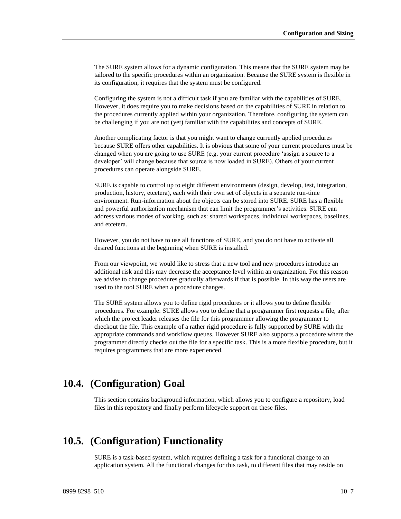The SURE system allows for a dynamic configuration. This means that the SURE system may be tailored to the specific procedures within an organization. Because the SURE system is flexible in its configuration, it requires that the system must be configured.

Configuring the system is not a difficult task if you are familiar with the capabilities of SURE. However, it does require you to make decisions based on the capabilities of SURE in relation to the procedures currently applied within your organization. Therefore, configuring the system can be challenging if you are not (yet) familiar with the capabilities and concepts of SURE.

Another complicating factor is that you might want to change currently applied procedures because SURE offers other capabilities. It is obvious that some of your current procedures must be changed when you are going to use SURE (e.g. your current procedure 'assign a source to a developer' will change because that source is now loaded in SURE). Others of your current procedures can operate alongside SURE.

SURE is capable to control up to eight different environments (design, develop, test, integration, production, history, etcetera), each with their own set of objects in a separate run-time environment. Run-information about the objects can be stored into SURE. SURE has a flexible and powerful authorization mechanism that can limit the programmer's activities. SURE can address various modes of working, such as: shared workspaces, individual workspaces, baselines, and etcetera.

However, you do not have to use all functions of SURE, and you do not have to activate all desired functions at the beginning when SURE is installed.

From our viewpoint, we would like to stress that a new tool and new procedures introduce an additional risk and this may decrease the acceptance level within an organization. For this reason we advise to change procedures gradually afterwards if that is possible. In this way the users are used to the tool SURE when a procedure changes.

The SURE system allows you to define rigid procedures or it allows you to define flexible procedures. For example: SURE allows you to define that a programmer first requests a file, after which the project leader releases the file for this programmer allowing the programmer to checkout the file. This example of a rather rigid procedure is fully supported by SURE with the appropriate commands and workflow queues. However SURE also supports a procedure where the programmer directly checks out the file for a specific task. This is a more flexible procedure, but it requires programmers that are more experienced.

## **10.4. (Configuration) Goal**

This section contains background information, which allows you to configure a repository, load files in this repository and finally perform lifecycle support on these files.

## **10.5. (Configuration) Functionality**

SURE is a task-based system, which requires defining a task for a functional change to an application system. All the functional changes for this task, to different files that may reside on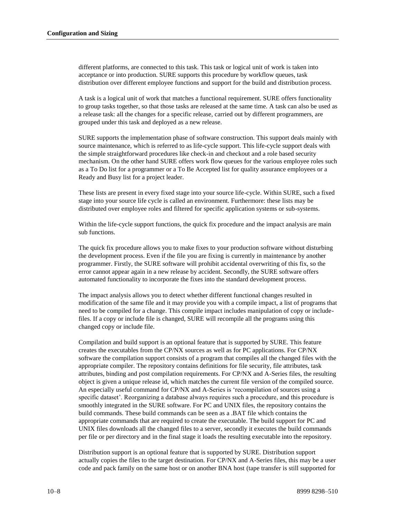different platforms, are connected to this task. This task or logical unit of work is taken into acceptance or into production. SURE supports this procedure by workflow queues, task distribution over different employee functions and support for the build and distribution process.

A task is a logical unit of work that matches a functional requirement. SURE offers functionality to group tasks together, so that those tasks are released at the same time. A task can also be used as a release task: all the changes for a specific release, carried out by different programmers, are grouped under this task and deployed as a new release.

SURE supports the implementation phase of software construction. This support deals mainly with source maintenance, which is referred to as life-cycle support. This life-cycle support deals with the simple straightforward procedures like check-in and checkout and a role based security mechanism. On the other hand SURE offers work flow queues for the various employee roles such as a To Do list for a programmer or a To Be Accepted list for quality assurance employees or a Ready and Busy list for a project leader.

These lists are present in every fixed stage into your source life-cycle. Within SURE, such a fixed stage into your source life cycle is called an environment. Furthermore: these lists may be distributed over employee roles and filtered for specific application systems or sub-systems.

Within the life-cycle support functions, the quick fix procedure and the impact analysis are main sub functions.

The quick fix procedure allows you to make fixes to your production software without disturbing the development process. Even if the file you are fixing is currently in maintenance by another programmer. Firstly, the SURE software will prohibit accidental overwriting of this fix, so the error cannot appear again in a new release by accident. Secondly, the SURE software offers automated functionality to incorporate the fixes into the standard development process.

The impact analysis allows you to detect whether different functional changes resulted in modification of the same file and it may provide you with a compile impact, a list of programs that need to be compiled for a change. This compile impact includes manipulation of copy or includefiles. If a copy or include file is changed, SURE will recompile all the programs using this changed copy or include file.

Compilation and build support is an optional feature that is supported by SURE. This feature creates the executables from the CP/NX sources as well as for PC applications. For CP/NX software the compilation support consists of a program that compiles all the changed files with the appropriate compiler. The repository contains definitions for file security, file attributes, task attributes, binding and post compilation requirements. For CP/NX and A-Series files, the resulting object is given a unique release id, which matches the current file version of the compiled source. An especially useful command for CP/NX and A-Series is 'recompilation of sources using a specific dataset'. Reorganizing a database always requires such a procedure, and this procedure is smoothly integrated in the SURE software. For PC and UNIX files, the repository contains the build commands. These build commands can be seen as a .BAT file which contains the appropriate commands that are required to create the executable. The build support for PC and UNIX files downloads all the changed files to a server, secondly it executes the build commands per file or per directory and in the final stage it loads the resulting executable into the repository.

Distribution support is an optional feature that is supported by SURE. Distribution support actually copies the files to the target destination. For CP/NX and A-Series files, this may be a user code and pack family on the same host or on another BNA host (tape transfer is still supported for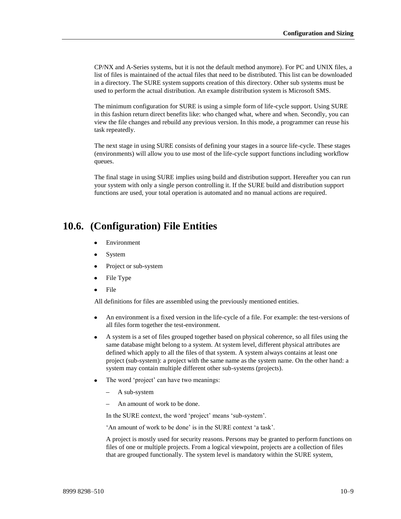CP/NX and A-Series systems, but it is not the default method anymore). For PC and UNIX files, a list of files is maintained of the actual files that need to be distributed. This list can be downloaded in a directory. The SURE system supports creation of this directory. Other sub systems must be used to perform the actual distribution. An example distribution system is Microsoft SMS.

The minimum configuration for SURE is using a simple form of life-cycle support. Using SURE in this fashion return direct benefits like: who changed what, where and when. Secondly, you can view the file changes and rebuild any previous version. In this mode, a programmer can reuse his task repeatedly.

The next stage in using SURE consists of defining your stages in a source life-cycle. These stages (environments) will allow you to use most of the life-cycle support functions including workflow queues.

The final stage in using SURE implies using build and distribution support. Hereafter you can run your system with only a single person controlling it. If the SURE build and distribution support functions are used, your total operation is automated and no manual actions are required.

## **10.6. (Configuration) File Entities**

- Environment
- $\bullet$ System
- Project or sub-system
- File Type
- File  $\bullet$

All definitions for files are assembled using the previously mentioned entities.

- An environment is a fixed version in the life-cycle of a file. For example: the test-versions of  $\bullet$ all files form together the test-environment.
- A system is a set of files grouped together based on physical coherence, so all files using the  $\bullet$ same database might belong to a system. At system level, different physical attributes are defined which apply to all the files of that system. A system always contains at least one project (sub-system): a project with the same name as the system name. On the other hand: a system may contain multiple different other sub-systems (projects).
- The word 'project' can have two meanings:
	- A sub-system
	- An amount of work to be done.

In the SURE context, the word 'project' means 'sub-system'.

'An amount of work to be done' is in the SURE context 'a task'.

A project is mostly used for security reasons. Persons may be granted to perform functions on files of one or multiple projects. From a logical viewpoint, projects are a collection of files that are grouped functionally. The system level is mandatory within the SURE system,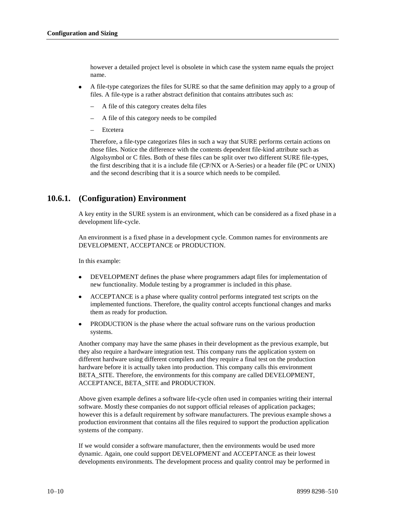however a detailed project level is obsolete in which case the system name equals the project name.

- A file-type categorizes the files for SURE so that the same definition may apply to a group of files. A file-type is a rather abstract definition that contains attributes such as:
	- A file of this category creates delta files
	- A file of this category needs to be compiled
	- Etcetera

Therefore, a file-type categorizes files in such a way that SURE performs certain actions on those files. Notice the difference with the contents dependent file-kind attribute such as Algolsymbol or C files. Both of these files can be split over two different SURE file-types, the first describing that it is a include file (CP/NX or A-Series) or a header file (PC or UNIX) and the second describing that it is a source which needs to be compiled.

## **10.6.1. (Configuration) Environment**

A key entity in the SURE system is an environment, which can be considered as a fixed phase in a development life-cycle.

An environment is a fixed phase in a development cycle. Common names for environments are DEVELOPMENT, ACCEPTANCE or PRODUCTION.

In this example:

- DEVELOPMENT defines the phase where programmers adapt files for implementation of new functionality. Module testing by a programmer is included in this phase.
- ACCEPTANCE is a phase where quality control performs integrated test scripts on the implemented functions. Therefore, the quality control accepts functional changes and marks them as ready for production.
- PRODUCTION is the phase where the actual software runs on the various production systems.

Another company may have the same phases in their development as the previous example, but they also require a hardware integration test. This company runs the application system on different hardware using different compilers and they require a final test on the production hardware before it is actually taken into production. This company calls this environment BETA\_SITE. Therefore, the environments for this company are called DEVELOPMENT, ACCEPTANCE, BETA\_SITE and PRODUCTION.

Above given example defines a software life-cycle often used in companies writing their internal software. Mostly these companies do not support official releases of application packages; however this is a default requirement by software manufacturers. The previous example shows a production environment that contains all the files required to support the production application systems of the company.

If we would consider a software manufacturer, then the environments would be used more dynamic. Again, one could support DEVELOPMENT and ACCEPTANCE as their lowest developments environments. The development process and quality control may be performed in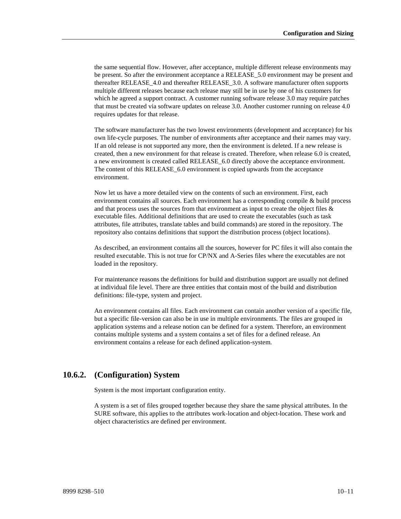the same sequential flow. However, after acceptance, multiple different release environments may be present. So after the environment acceptance a RELEASE\_5.0 environment may be present and thereafter RELEASE\_4.0 and thereafter RELEASE\_3.0. A software manufacturer often supports multiple different releases because each release may still be in use by one of his customers for which he agreed a support contract. A customer running software release 3.0 may require patches that must be created via software updates on release 3.0. Another customer running on release 4.0 requires updates for that release.

The software manufacturer has the two lowest environments (development and acceptance) for his own life-cycle purposes. The number of environments after acceptance and their names may vary. If an old release is not supported any more, then the environment is deleted. If a new release is created, then a new environment for that release is created. Therefore, when release 6.0 is created, a new environment is created called RELEASE\_6.0 directly above the acceptance environment. The content of this RELEASE\_6.0 environment is copied upwards from the acceptance environment.

Now let us have a more detailed view on the contents of such an environment. First, each environment contains all sources. Each environment has a corresponding compile & build process and that process uses the sources from that environment as input to create the object files & executable files. Additional definitions that are used to create the executables (such as task attributes, file attributes, translate tables and build commands) are stored in the repository. The repository also contains definitions that support the distribution process (object locations).

As described, an environment contains all the sources, however for PC files it will also contain the resulted executable. This is not true for CP/NX and A-Series files where the executables are not loaded in the repository.

For maintenance reasons the definitions for build and distribution support are usually not defined at individual file level. There are three entities that contain most of the build and distribution definitions: file-type, system and project.

An environment contains all files. Each environment can contain another version of a specific file, but a specific file-version can also be in use in multiple environments. The files are grouped in application systems and a release notion can be defined for a system. Therefore, an environment contains multiple systems and a system contains a set of files for a defined release. An environment contains a release for each defined application-system.

## **10.6.2. (Configuration) System**

System is the most important configuration entity.

A system is a set of files grouped together because they share the same physical attributes. In the SURE software, this applies to the attributes work-location and object-location. These work and object characteristics are defined per environment.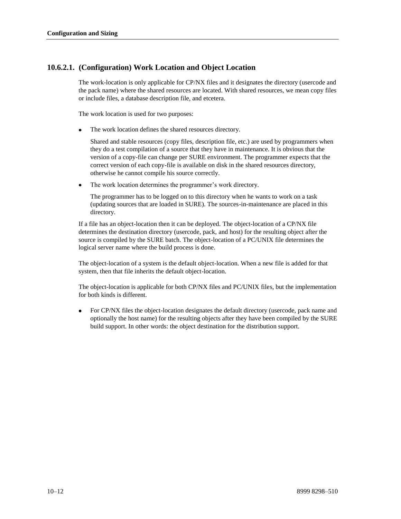## **10.6.2.1. (Configuration) Work Location and Object Location**

The work-location is only applicable for CP/NX files and it designates the directory (usercode and the pack name) where the shared resources are located. With shared resources, we mean copy files or include files, a database description file, and etcetera.

The work location is used for two purposes:

The work location defines the shared resources directory.

Shared and stable resources (copy files, description file, etc.) are used by programmers when they do a test compilation of a source that they have in maintenance. It is obvious that the version of a copy-file can change per SURE environment. The programmer expects that the correct version of each copy-file is available on disk in the shared resources directory, otherwise he cannot compile his source correctly.

The work location determines the programmer's work directory.

The programmer has to be logged on to this directory when he wants to work on a task (updating sources that are loaded in SURE). The sources-in-maintenance are placed in this directory.

If a file has an object-location then it can be deployed. The object-location of a CP/NX file determines the destination directory (usercode, pack, and host) for the resulting object after the source is compiled by the SURE batch. The object-location of a PC/UNIX file determines the logical server name where the build process is done.

The object-location of a system is the default object-location. When a new file is added for that system, then that file inherits the default object-location.

The object-location is applicable for both CP/NX files and PC/UNIX files, but the implementation for both kinds is different.

For CP/NX files the object-location designates the default directory (usercode, pack name and optionally the host name) for the resulting objects after they have been compiled by the SURE build support. In other words: the object destination for the distribution support.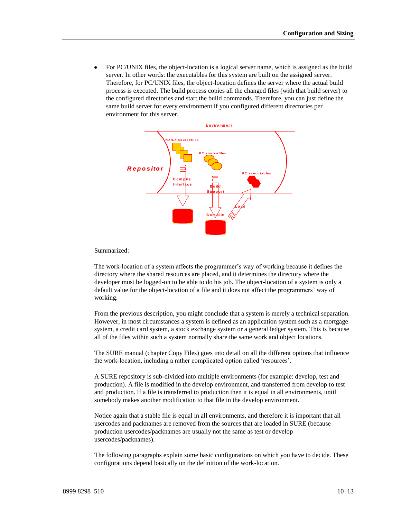For PC/UNIX files, the object-location is a logical server name, which is assigned as the build server. In other words: the executables for this system are built on the assigned server. Therefore, for PC/UNIX files, the object-location defines the server where the actual build process is executed. The build process copies all the changed files (with that build server) to the configured directories and start the build commands. Therefore, you can just define the same build server for every environment if you configured different directories per environment for this server.



Summarized:

The work-location of a system affects the programmer's way of working because it defines the directory where the shared resources are placed, and it determines the directory where the developer must be logged-on to be able to do his job. The object-location of a system is only a default value for the object-location of a file and it does not affect the programmers' way of working.

From the previous description, you might conclude that a system is merely a technical separation. However, in most circumstances a system is defined as an application system such as a mortgage system, a credit card system, a stock exchange system or a general ledger system. This is because all of the files within such a system normally share the same work and object locations.

The SURE manual (chapter Copy Files) goes into detail on all the different options that influence the work-location, including a rather complicated option called 'resources'.

A SURE repository is sub-divided into multiple environments (for example: develop, test and production). A file is modified in the develop environment, and transferred from develop to test and production. If a file is transferred to production then it is equal in all environments, until somebody makes another modification to that file in the develop environment.

Notice again that a stable file is equal in all environments, and therefore it is important that all usercodes and packnames are removed from the sources that are loaded in SURE (because production usercodes/packnames are usually not the same as test or develop usercodes/packnames).

The following paragraphs explain some basic configurations on which you have to decide. These configurations depend basically on the definition of the work-location.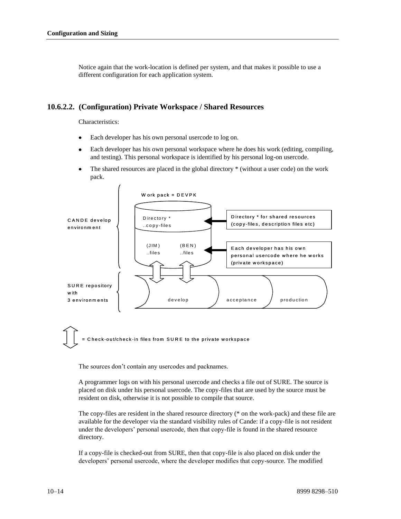Notice again that the work-location is defined per system, and that makes it possible to use a different configuration for each application system.

### **10.6.2.2. (Configuration) Private Workspace / Shared Resources**

Characteristics:

- Each developer has his own personal usercode to log on.  $\bullet$
- Each developer has his own personal workspace where he does his work (editing, compiling,  $\bullet$ and testing). This personal workspace is identified by his personal log-on usercode.
- The shared resources are placed in the global directory \* (without a user code) on the work  $\bullet$ pack.



Check-out/check-in files from SURE to the private workspace

The sources don't contain any usercodes and packnames.

A programmer logs on with his personal usercode and checks a file out of SURE. The source is placed on disk under his personal usercode. The copy-files that are used by the source must be resident on disk, otherwise it is not possible to compile that source.

The copy-files are resident in the shared resource directory (\* on the work-pack) and these file are available for the developer via the standard visibility rules of Cande: if a copy-file is not resident under the developers' personal usercode, then that copy-file is found in the shared resource directory.

If a copy-file is checked-out from SURE, then that copy-file is also placed on disk under the developers' personal usercode, where the developer modifies that copy-source. The modified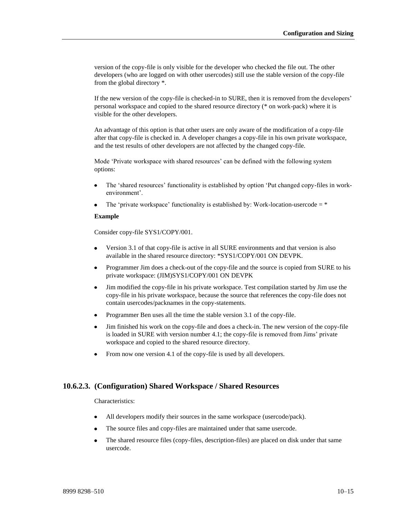version of the copy-file is only visible for the developer who checked the file out. The other developers (who are logged on with other usercodes) still use the stable version of the copy-file from the global directory \*.

If the new version of the copy-file is checked-in to SURE, then it is removed from the developers' personal workspace and copied to the shared resource directory (\* on work-pack) where it is visible for the other developers.

An advantage of this option is that other users are only aware of the modification of a copy-file after that copy-file is checked in. A developer changes a copy-file in his own private workspace, and the test results of other developers are not affected by the changed copy-file.

Mode 'Private workspace with shared resources' can be defined with the following system options:

- The 'shared resources' functionality is established by option 'Put changed copy-files in workenvironment'.
- The 'private workspace' functionality is established by: Work-location-usercode  $=$  \*

### **Example**

Consider copy-file SYS1/COPY/001.

- Version 3.1 of that copy-file is active in all SURE environments and that version is also available in the shared resource directory: \*SYS1/COPY/001 ON DEVPK.
- Programmer Jim does a check-out of the copy-file and the source is copied from SURE to his  $\bullet$ private workspace: (JIM)SYS1/COPY/001 ON DEVPK
- $\bullet$ Jim modified the copy-file in his private workspace. Test compilation started by Jim use the copy-file in his private workspace, because the source that references the copy-file does not contain usercodes/packnames in the copy-statements.
- Programmer Ben uses all the time the stable version 3.1 of the copy-file.
- Jim finished his work on the copy-file and does a check-in. The new version of the copy-file is loaded in SURE with version number 4.1; the copy-file is removed from Jims' private workspace and copied to the shared resource directory.
- From now one version 4.1 of the copy-file is used by all developers.

## **10.6.2.3. (Configuration) Shared Workspace / Shared Resources**

Characteristics:

- All developers modify their sources in the same workspace (usercode/pack).
- The source files and copy-files are maintained under that same usercode.
- The shared resource files (copy-files, description-files) are placed on disk under that same usercode.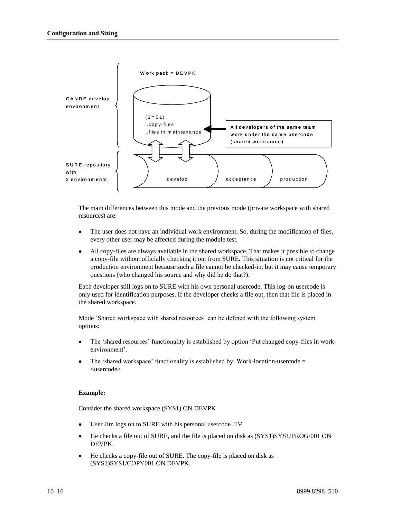

The main differences between this mode and the previous mode (private workspace with shared resources) are:

- The user does not have an individual work environment. So, during the modification of files, every other user may be affected during the module test.
- All copy-files are always available in the shared workspace. That makes it possible to change a copy-file without officially checking it out from SURE. This situation is not critical for the production environment because such a file cannot be checked-in, but it may cause temporary questions (who changed his source and why did he do that?).

Each developer still logs on to SURE with his own personal usercode. This log-on usercode is only used for identification purposes. If the developer checks a file out, then that file is placed in the shared workspace.

Mode 'Shared workspace with shared resources' can be defined with the following system options:

- The 'shared resources' functionality is established by option 'Put changed copy-files in workenvironment'.
- The 'shared workspace' functionality is established by: Work-location-usercode  $=$ <usercode>

### **Example:**

Consider the shared workspace (SYS1) ON DEVPK

- User Jim logs on to SURE with his personal usercode JIM
- He checks a file out of SURE, and the file is placed on disk as  $(SYS1/SYS1/PROG/001 ON$ DEVPK.
- He checks a copy-file out of SURE. The copy-file is placed on disk as (SYS1)SYS1/COPY001 ON DEVPK.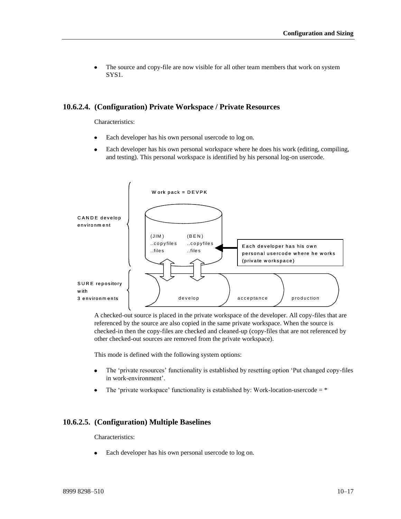The source and copy-file are now visible for all other team members that work on system SYS1.

### **10.6.2.4. (Configuration) Private Workspace / Private Resources**

Characteristics:

- Each developer has his own personal usercode to log on.
- Each developer has his own personal workspace where he does his work (editing, compiling,  $\bullet$ and testing). This personal workspace is identified by his personal log-on usercode.



A checked-out source is placed in the private workspace of the developer. All copy-files that are referenced by the source are also copied in the same private workspace. When the source is checked-in then the copy-files are checked and cleaned-up (copy-files that are not referenced by other checked-out sources are removed from the private workspace).

This mode is defined with the following system options:

- $\bullet$ The 'private resources' functionality is established by resetting option 'Put changed copy-files in work-environment'.
- The 'private workspace' functionality is established by: Work-location-usercode  $=$  \*

### **10.6.2.5. (Configuration) Multiple Baselines**

#### Characteristics:

Each developer has his own personal usercode to log on.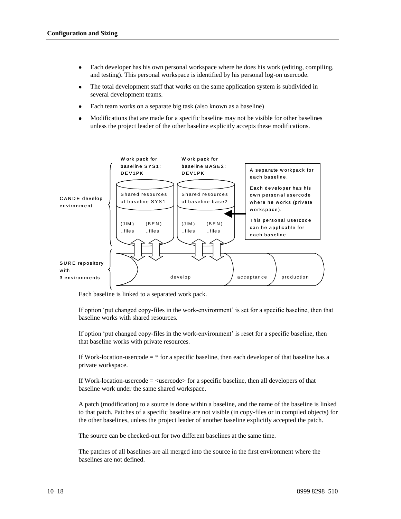- Each developer has his own personal workspace where he does his work (editing, compiling,  $\bullet$ and testing). This personal workspace is identified by his personal log-on usercode.
- The total development staff that works on the same application system is subdivided in  $\bullet$ several development teams.
- Each team works on a separate big task (also known as a baseline)
- Modifications that are made for a specific baseline may not be visible for other baselines unless the project leader of the other baseline explicitly accepts these modifications.



Each baseline is linked to a separated work pack.

If option 'put changed copy-files in the work-environment' is set for a specific baseline, then that baseline works with shared resources.

If option 'put changed copy-files in the work-environment' is reset for a specific baseline, then that baseline works with private resources.

If Work-location-usercode  $=$  \* for a specific baseline, then each developer of that baseline has a private workspace.

If Work-location-usercode  $=$   $\langle$ usercode $\rangle$  for a specific baseline, then all developers of that baseline work under the same shared workspace.

A patch (modification) to a source is done within a baseline, and the name of the baseline is linked to that patch. Patches of a specific baseline are not visible (in copy-files or in compiled objects) for the other baselines, unless the project leader of another baseline explicitly accepted the patch.

The source can be checked-out for two different baselines at the same time.

The patches of all baselines are all merged into the source in the first environment where the baselines are not defined.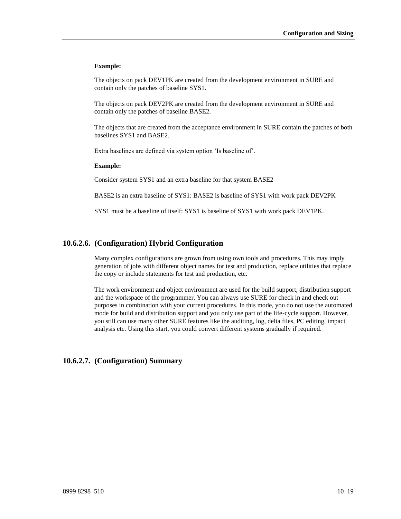#### **Example:**

The objects on pack DEV1PK are created from the development environment in SURE and contain only the patches of baseline SYS1.

The objects on pack DEV2PK are created from the development environment in SURE and contain only the patches of baseline BASE2.

The objects that are created from the acceptance environment in SURE contain the patches of both baselines SYS1 and BASE2.

Extra baselines are defined via system option 'Is baseline of'.

#### **Example:**

Consider system SYS1 and an extra baseline for that system BASE2

BASE2 is an extra baseline of SYS1: BASE2 is baseline of SYS1 with work pack DEV2PK

SYS1 must be a baseline of itself: SYS1 is baseline of SYS1 with work pack DEV1PK.

### **10.6.2.6. (Configuration) Hybrid Configuration**

Many complex configurations are grown from using own tools and procedures. This may imply generation of jobs with different object names for test and production, replace utilities that replace the copy or include statements for test and production, etc.

The work environment and object environment are used for the build support, distribution support and the workspace of the programmer. You can always use SURE for check in and check out purposes in combination with your current procedures. In this mode, you do not use the automated mode for build and distribution support and you only use part of the life-cycle support. However, you still can use many other SURE features like the auditing, log, delta files, PC editing, impact analysis etc. Using this start, you could convert different systems gradually if required.

### **10.6.2.7. (Configuration) Summary**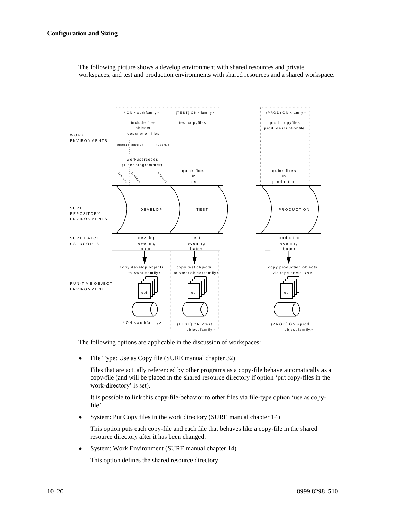

The following picture shows a develop environment with shared resources and private workspaces, and test and production environments with shared resources and a shared workspace.

The following options are applicable in the discussion of workspaces:

File Type: Use as Copy file (SURE manual chapter 32)

Files that are actually referenced by other programs as a copy-file behave automatically as a copy-file (and will be placed in the shared resource directory if option 'put copy-files in the work-directory' is set).

It is possible to link this copy-file-behavior to other files via file-type option 'use as copyfile'.

System: Put Copy files in the work directory (SURE manual chapter 14)

This option puts each copy-file and each file that behaves like a copy-file in the shared resource directory after it has been changed.

 $\bullet$ System: Work Environment (SURE manual chapter 14)

This option defines the shared resource directory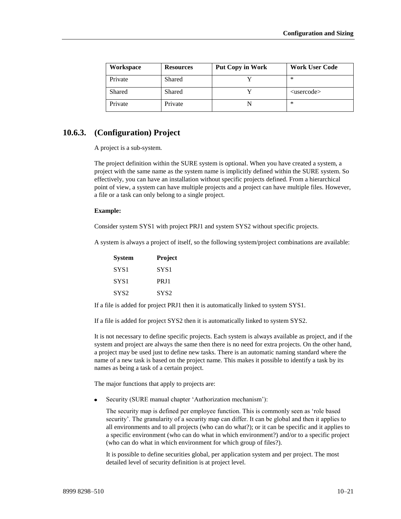| Workspace | <b>Resources</b> | <b>Put Copy in Work</b> | <b>Work User Code</b> |
|-----------|------------------|-------------------------|-----------------------|
| Private   | Shared           |                         | ∗                     |
| Shared    | Shared           |                         | $<$ usercode $>$      |
| Private   | Private          |                         | ∗                     |

## **10.6.3. (Configuration) Project**

A project is a sub-system.

The project definition within the SURE system is optional. When you have created a system, a project with the same name as the system name is implicitly defined within the SURE system. So effectively, you can have an installation without specific projects defined. From a hierarchical point of view, a system can have multiple projects and a project can have multiple files. However, a file or a task can only belong to a single project.

#### **Example:**

Consider system SYS1 with project PRJ1 and system SYS2 without specific projects.

A system is always a project of itself, so the following system/project combinations are available:

| <b>System</b> | <b>Project</b>   |
|---------------|------------------|
| SYS1          | SYS1             |
| SYS1          | PR I 1           |
| SYS2          | SYS <sub>2</sub> |

If a file is added for project PRJ1 then it is automatically linked to system SYS1.

If a file is added for project SYS2 then it is automatically linked to system SYS2.

It is not necessary to define specific projects. Each system is always available as project, and if the system and project are always the same then there is no need for extra projects. On the other hand, a project may be used just to define new tasks. There is an automatic naming standard where the name of a new task is based on the project name. This makes it possible to identify a task by its names as being a task of a certain project.

The major functions that apply to projects are:

Security (SURE manual chapter 'Authorization mechanism'):

The security map is defined per employee function. This is commonly seen as 'role based security'. The granularity of a security map can differ. It can be global and then it applies to all environments and to all projects (who can do what?); or it can be specific and it applies to a specific environment (who can do what in which environment?) and/or to a specific project (who can do what in which environment for which group of files?).

It is possible to define securities global, per application system and per project. The most detailed level of security definition is at project level.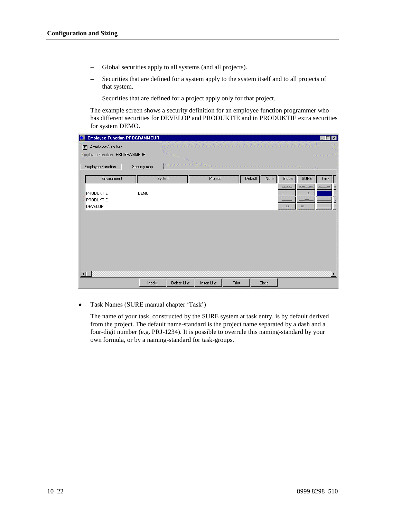- Global securities apply to all systems (and all projects).  $\equiv$
- Securities that are defined for a system apply to the system itself and to all projects of that system.
- Securities that are defined for a project apply only for that project.  $-$

The example screen shows a security definition for an employee function programmer who has different securities for DEVELOP and PRODUKTIE and in PRODUKTIE extra securities for system DEMO.

| <b>Employee Function PROGRAMMEUR</b> |              |             |                                                                    |       |         |       |           |                | $\Box$                |
|--------------------------------------|--------------|-------------|--------------------------------------------------------------------|-------|---------|-------|-----------|----------------|-----------------------|
| Employee Function<br>$\mathbb{R}^n$  |              |             |                                                                    |       |         |       |           |                |                       |
| Employee Function PROGRAMMEUR        |              |             |                                                                    |       |         |       |           |                |                       |
| Employee Function                    | Security map |             | កន្លងមានមានមានមានមានមាននិងមិនមិនអ្នក<br>- សមានមាន ។<br>- សមានមាន ។ |       |         |       |           |                |                       |
| Environment                          | System       |             | Project                                                            |       | Default | None  | Global    | <b>SURE</b>    | Task                  |
|                                      |              |             |                                                                    |       |         |       | 1.1.1.185 | 送用し、用具         |                       |
| PRODUKTIE                            | DEMO         |             |                                                                    |       |         |       |           | л.             |                       |
| PRODUKTIE                            |              |             |                                                                    |       |         |       |           | $\overline{ }$ |                       |
| DEVELOP                              |              |             |                                                                    |       |         |       | 1.001     | <b>JPD</b>     |                       |
|                                      |              |             |                                                                    |       |         |       |           |                |                       |
|                                      |              |             |                                                                    |       |         |       |           |                |                       |
|                                      |              |             |                                                                    |       |         |       |           |                |                       |
|                                      |              |             |                                                                    |       |         |       |           |                |                       |
|                                      |              |             |                                                                    |       |         |       |           |                |                       |
|                                      |              |             |                                                                    |       |         |       |           |                |                       |
|                                      |              |             |                                                                    |       |         |       |           |                |                       |
|                                      |              |             |                                                                    |       |         |       |           |                |                       |
| $\blacksquare$                       |              |             |                                                                    |       |         |       |           |                | $\blacktriangleright$ |
|                                      | Modify       | Delete Line | Insert Line                                                        | Print |         | Close |           |                |                       |

Task Names (SURE manual chapter 'Task')

The name of your task, constructed by the SURE system at task entry, is by default derived from the project. The default name-standard is the project name separated by a dash and a four-digit number (e.g. PRJ-1234). It is possible to overrule this naming-standard by your own formula, or by a naming-standard for task-groups.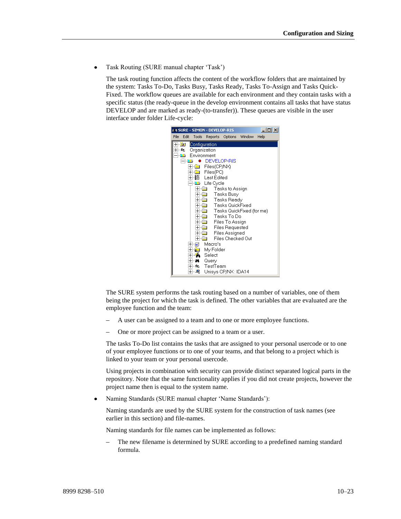Task Routing (SURE manual chapter 'Task')

The task routing function affects the content of the workflow folders that are maintained by the system: Tasks To-Do, Tasks Busy, Tasks Ready, Tasks To-Assign and Tasks Quick-Fixed. The workflow queues are available for each environment and they contain tasks with a specific status (the ready-queue in the develop environment contains all tasks that have status DEVELOP and are marked as ready-(to-transfer)). These queues are visible in the user interface under folder Life-cycle:



The SURE system performs the task routing based on a number of variables, one of them being the project for which the task is defined. The other variables that are evaluated are the employee function and the team:

- A user can be assigned to a team and to one or more employee functions.
- One or more project can be assigned to a team or a user.

The tasks To-Do list contains the tasks that are assigned to your personal usercode or to one of your employee functions or to one of your teams, and that belong to a project which is linked to your team or your personal usercode.

Using projects in combination with security can provide distinct separated logical parts in the repository. Note that the same functionality applies if you did not create projects, however the project name then is equal to the system name.

Naming Standards (SURE manual chapter 'Name Standards'):  $\bullet$ 

Naming standards are used by the SURE system for the construction of task names (see earlier in this section) and file-names.

Naming standards for file names can be implemented as follows:

The new filename is determined by SURE according to a predefined naming standard formula.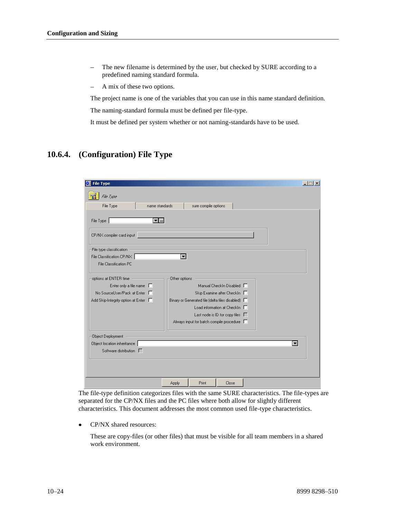- The new filename is determined by the user, but checked by SURE according to a  $\equiv$ predefined naming standard formula.
- A mix of these two options.  $\equiv$

The project name is one of the variables that you can use in this name standard definition. The naming-standard formula must be defined per file-type.

It must be defined per system whether or not naming-standards have to be used.

## **10.6.4. (Configuration) File Type**

| <b>File Type</b>                   |                                                                                          | $ \Box$ $\times$ |
|------------------------------------|------------------------------------------------------------------------------------------|------------------|
| File Type                          |                                                                                          |                  |
| File Type<br>name standards        |                                                                                          |                  |
|                                    | sure compile options                                                                     |                  |
| File Type<br>▼ …                   |                                                                                          |                  |
| CP/NX compiler card input          |                                                                                          |                  |
| File type classification           |                                                                                          |                  |
| File Classification CP/NX          | $\blacksquare$                                                                           |                  |
| File Classification PC             |                                                                                          |                  |
| options at ENTER time              | Other options                                                                            |                  |
| Enter only a file name $\Box$      | Manual Checkin Disabled $\Box$                                                           |                  |
| No SourceUser/Pack at Enter        | Skip Examine after CheckIn                                                               |                  |
| Add Skip-Integrity option at Enter | Binary or Generated file (delta files disabled) $\square$<br>Load information at CheckIn |                  |
|                                    | Last node is ID for copy files $\square$                                                 |                  |
|                                    | Always input for batch compile procedure $\Box$                                          |                  |
|                                    |                                                                                          |                  |
| Object Deployment                  |                                                                                          |                  |
| Object location inheritance        | ▼                                                                                        |                  |
| Software distribution $\Gamma$     |                                                                                          |                  |
|                                    |                                                                                          |                  |
|                                    |                                                                                          |                  |
|                                    | Print<br>Close<br>Apply                                                                  |                  |

The file-type definition categorizes files with the same SURE characteristics. The file-types are separated for the CP/NX files and the PC files where both allow for slightly different characteristics. This document addresses the most common used file-type characteristics.

CP/NX shared resources:  $\bullet$ 

> These are copy-files (or other files) that must be visible for all team members in a shared work environment.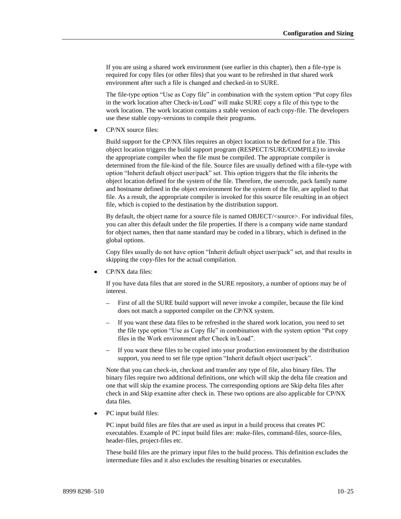If you are using a shared work environment (see earlier in this chapter), then a file-type is required for copy files (or other files) that you want to be refreshed in that shared work environment after such a file is changed and checked-in to SURE.

The file-type option "Use as Copy file" in combination with the system option "Put copy files in the work location after Check-in/Load" will make SURE copy a file of this type to the work location. The work location contains a stable version of each copy-file. The developers use these stable copy-versions to compile their programs.

CP/NX source files:

Build support for the CP/NX files requires an object location to be defined for a file. This object location triggers the build support program (RESPECT/SURE/COMPILE) to invoke the appropriate compiler when the file must be compiled. The appropriate compiler is determined from the file-kind of the file. Source files are usually defined with a file-type with option "Inherit default object user/pack" set. This option triggers that the file inherits the object location defined for the system of the file. Therefore, the usercode, pack family name and hostname defined in the object environment for the system of the file, are applied to that file. As a result, the appropriate compiler is invoked for this source file resulting in an object file, which is copied to the destination by the distribution support.

By default, the object name for a source file is named OBJECT/<source>. For individual files, you can alter this default under the file properties. If there is a company wide name standard for object names, then that name standard may be coded in a library, which is defined in the global options.

Copy files usually do not have option "Inherit default object user/pack" set, and that results in skipping the copy-files for the actual compilation.

CP/NX data files:

If you have data files that are stored in the SURE repository, a number of options may be of interest.

- First of all the SURE build support will never invoke a compiler, because the file kind does not match a supported compiler on the CP/NX system.
- If you want these data files to be refreshed in the shared work location, you need to set the file type option "Use as Copy file" in combination with the system option "Put copy files in the Work environment after Check in/Load".
- If you want these files to be copied into your production environment by the distribution support, you need to set file type option "Inherit default object user/pack".

Note that you can check-in, checkout and transfer any type of file, also binary files. The binary files require two additional definitions, one which will skip the delta file creation and one that will skip the examine process. The corresponding options are Skip delta files after check in and Skip examine after check in. These two options are also applicable for CP/NX data files.

PC input build files:

PC input build files are files that are used as input in a build process that creates PC executables. Example of PC input build files are: make-files, command-files, source-files, header-files, project-files etc.

These build files are the primary input files to the build process. This definition excludes the intermediate files and it also excludes the resulting binaries or executables.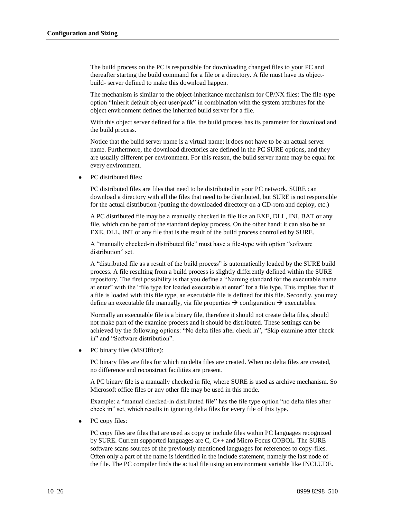The build process on the PC is responsible for downloading changed files to your PC and thereafter starting the build command for a file or a directory. A file must have its objectbuild- server defined to make this download happen.

The mechanism is similar to the object-inheritance mechanism for CP/NX files: The file-type option "Inherit default object user/pack" in combination with the system attributes for the object environment defines the inherited build server for a file.

With this object server defined for a file, the build process has its parameter for download and the build process.

Notice that the build server name is a virtual name; it does not have to be an actual server name. Furthermore, the download directories are defined in the PC SURE options, and they are usually different per environment. For this reason, the build server name may be equal for every environment.

PC distributed files:

PC distributed files are files that need to be distributed in your PC network. SURE can download a directory with all the files that need to be distributed, but SURE is not responsible for the actual distribution (putting the downloaded directory on a CD-rom and deploy, etc.)

A PC distributed file may be a manually checked in file like an EXE, DLL, INI, BAT or any file, which can be part of the standard deploy process. On the other hand: it can also be an EXE, DLL, INT or any file that is the result of the build process controlled by SURE.

A "manually checked-in distributed file" must have a file-type with option "software distribution" set.

A "distributed file as a result of the build process" is automatically loaded by the SURE build process. A file resulting from a build process is slightly differently defined within the SURE repository. The first possibility is that you define a "Naming standard for the executable name at enter" with the "file type for loaded executable at enter" for a file type. This implies that if a file is loaded with this file type, an executable file is defined for this file. Secondly, you may define an executable file manually, via file properties  $\rightarrow$  configuration  $\rightarrow$  executables.

Normally an executable file is a binary file, therefore it should not create delta files, should not make part of the examine process and it should be distributed. These settings can be achieved by the following options: "No delta files after check in", "Skip examine after check in" and "Software distribution".

PC binary files (MSOffice):

PC binary files are files for which no delta files are created. When no delta files are created, no difference and reconstruct facilities are present.

A PC binary file is a manually checked in file, where SURE is used as archive mechanism. So Microsoft office files or any other file may be used in this mode.

Example: a "manual checked-in distributed file" has the file type option "no delta files after check in" set, which results in ignoring delta files for every file of this type.

PC copy files:

PC copy files are files that are used as copy or include files within PC languages recognized by SURE. Current supported languages are C, C++ and Micro Focus COBOL. The SURE software scans sources of the previously mentioned languages for references to copy-files. Often only a part of the name is identified in the include statement, namely the last node of the file. The PC compiler finds the actual file using an environment variable like INCLUDE.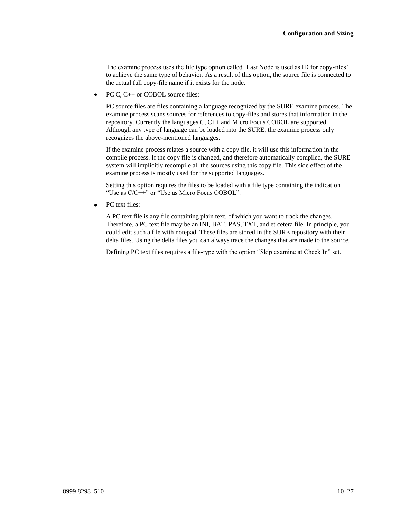The examine process uses the file type option called 'Last Node is used as ID for copy-files' to achieve the same type of behavior. As a result of this option, the source file is connected to the actual full copy-file name if it exists for the node.

PC C, C++ or COBOL source files:  $\bullet$ 

> PC source files are files containing a language recognized by the SURE examine process. The examine process scans sources for references to copy-files and stores that information in the repository. Currently the languages C, C++ and Micro Focus COBOL are supported. Although any type of language can be loaded into the SURE, the examine process only recognizes the above-mentioned languages.

> If the examine process relates a source with a copy file, it will use this information in the compile process. If the copy file is changed, and therefore automatically compiled, the SURE system will implicitly recompile all the sources using this copy file. This side effect of the examine process is mostly used for the supported languages.

Setting this option requires the files to be loaded with a file type containing the indication "Use as C/C++" or "Use as Micro Focus COBOL".

 $\bullet$ PC text files:

> A PC text file is any file containing plain text, of which you want to track the changes. Therefore, a PC text file may be an INI, BAT, PAS, TXT, and et cetera file. In principle, you could edit such a file with notepad. These files are stored in the SURE repository with their delta files. Using the delta files you can always trace the changes that are made to the source.

Defining PC text files requires a file-type with the option "Skip examine at Check In" set.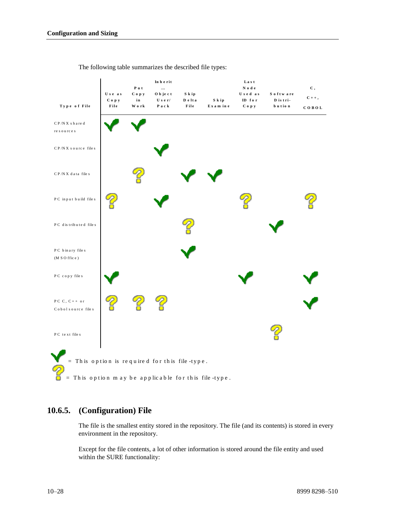|                                                                                                        |                        |                           | The following table summarizes the described file types: |                         |                    |                                           |                                 |                      |
|--------------------------------------------------------------------------------------------------------|------------------------|---------------------------|----------------------------------------------------------|-------------------------|--------------------|-------------------------------------------|---------------------------------|----------------------|
| Type of File                                                                                           | Use as<br>Сору<br>File | Put<br>Сору<br>in<br>Work | In herit<br><br>O b je c t<br>User/<br>Pack              | S k ip<br>Delta<br>File | S k ip<br>Exam ine | Last<br>Node<br>Used as<br>ID for<br>Сору | Software<br>D is tri-<br>bution | С,<br>$C++$<br>COBOL |
| $CP/NX s$ hared<br>${\rm re}$ s o ${\rm u}$ rc e s                                                     |                        |                           |                                                          |                         |                    |                                           |                                 |                      |
| CP/NX source files                                                                                     |                        |                           |                                                          |                         |                    |                                           |                                 |                      |
| $CP/NX$ data files                                                                                     |                        |                           |                                                          |                         |                    |                                           |                                 |                      |
| PC input build files                                                                                   |                        |                           |                                                          |                         |                    |                                           |                                 |                      |
| PC distributed files                                                                                   |                        |                           |                                                          |                         |                    |                                           |                                 |                      |
| PC binary files<br>(M S O ffic e)                                                                      |                        |                           |                                                          |                         |                    |                                           |                                 |                      |
| PC copy files                                                                                          |                        |                           |                                                          |                         |                    |                                           |                                 |                      |
| PC $C, C++$ or<br>Cobol source files                                                                   |                        |                           |                                                          |                         |                    |                                           |                                 |                      |
| PC text files                                                                                          |                        |                           |                                                          |                         |                    |                                           |                                 |                      |
| $=$ This option is required for this file-type.<br>= This option may be applicable for this file-type. |                        |                           |                                                          |                         |                    |                                           |                                 |                      |

## **10.6.5. (Configuration) File**

The file is the smallest entity stored in the repository. The file (and its contents) is stored in every environment in the repository.

Except for the file contents, a lot of other information is stored around the file entity and used within the SURE functionality: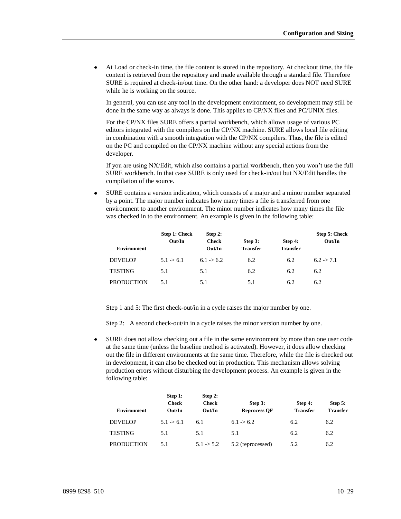At Load or check-in time, the file content is stored in the repository. At checkout time, the file content is retrieved from the repository and made available through a standard file. Therefore SURE is required at check-in/out time. On the other hand: a developer does NOT need SURE while he is working on the source.

In general, you can use any tool in the development environment, so development may still be done in the same way as always is done. This applies to CP/NX files and PC/UNIX files.

For the CP/NX files SURE offers a partial workbench, which allows usage of various PC editors integrated with the compilers on the CP/NX machine. SURE allows local file editing in combination with a smooth integration with the CP/NX compilers. Thus, the file is edited on the PC and compiled on the CP/NX machine without any special actions from the developer.

If you are using NX/Edit, which also contains a partial workbench, then you won't use the full SURE workbench. In that case SURE is only used for check-in/out but NX/Edit handles the compilation of the source.

 $\bullet$ SURE contains a version indication, which consists of a major and a minor number separated by a point. The major number indicates how many times a file is transferred from one environment to another environment. The minor number indicates how many times the file was checked in to the environment. An example is given in the following table:

|                    | Step 1: Check<br>Out/In | Step 2:<br><b>Check</b> | Step 3:         | Step 4:         | Step 5: Check<br>Out/In |
|--------------------|-------------------------|-------------------------|-----------------|-----------------|-------------------------|
| <b>Environment</b> |                         | Out/In                  | <b>Transfer</b> | <b>Transfer</b> |                         |
| <b>DEVELOP</b>     | 5.1 > 6.1               | $6.1 - 56.2$            | 6.2             | 6.2             | $6.2 \div 7.1$          |
| <b>TESTING</b>     | 5.1                     | 5.1                     | 6.2             | 6.2             | 6.2                     |
| <b>PRODUCTION</b>  | 5.1                     | 5.1                     | 5.1             | 6.2             | 6.2                     |

Step 1 and 5: The first check-out/in in a cycle raises the major number by one.

Step 2: A second check-out/in in a cycle raises the minor version number by one.

SURE does not allow checking out a file in the same environment by more than one user code  $\bullet$ at the same time (unless the baseline method is activated). However, it does allow checking out the file in different environments at the same time. Therefore, while the file is checked out in development, it can also be checked out in production. This mechanism allows solving production errors without disturbing the development process. An example is given in the following table:

| <b>Environment</b> | Step 1:<br><b>Check</b><br>Out/In | Step 2:<br><b>Check</b><br>Out/In | Step 3:<br><b>Reprocess OF</b> | Step 4:<br><b>Transfer</b> | Step 5:<br><b>Transfer</b> |
|--------------------|-----------------------------------|-----------------------------------|--------------------------------|----------------------------|----------------------------|
| <b>DEVELOP</b>     | $5.1 \rightarrow 6.1$             | 6.1                               | $6.1 \rightarrow 6.2$          | 6.2                        | 6.2                        |
| <b>TESTING</b>     | 5.1                               | 5.1                               | 5.1                            | 6.2                        | 6.2                        |
| <b>PRODUCTION</b>  | 5.1                               | $5.1 \div 5.2$                    | 5.2 (reprocessed)              | 5.2                        | 6.2                        |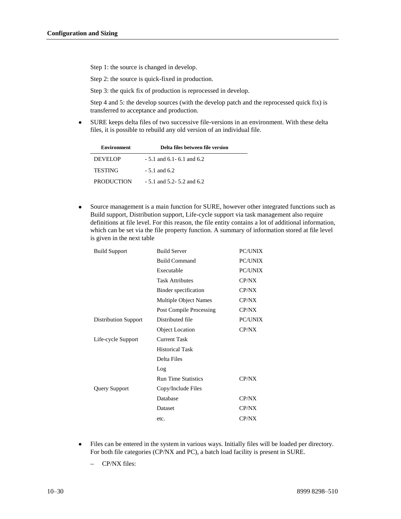Step 1: the source is changed in develop.

Step 2: the source is quick-fixed in production.

Step 3: the quick fix of production is reprocessed in develop.

Step 4 and 5: the develop sources (with the develop patch and the reprocessed quick fix) is transferred to acceptance and production.

SURE keeps delta files of two successive file-versions in an environment. With these delta  $\bullet$ files, it is possible to rebuild any old version of an individual file.

| <b>Environment</b> | Delta files between file version |
|--------------------|----------------------------------|
| DEVELOP            | $-5.1$ and 6.1 $-6.1$ and 6.2    |
| <b>TESTING</b>     | $-5.1$ and 6.2.                  |
| <b>PRODUCTION</b>  | $-5.1$ and 5.2 $-5.2$ and 6.2    |

Source management is a main function for SURE, however other integrated functions such as  $\bullet$ Build support, Distribution support, Life-cycle support via task management also require definitions at file level. For this reason, the file entity contains a lot of additional information, which can be set via the file property function. A summary of information stored at file level is given in the next table

| <b>Build Support</b> | <b>Build Server</b>            | <b>PC/UNIX</b> |
|----------------------|--------------------------------|----------------|
|                      | <b>Build Command</b>           | <b>PC/UNIX</b> |
|                      | Executable                     | <b>PC/UNIX</b> |
|                      | <b>Task Attributes</b>         | CP/NX          |
|                      | Binder specification           | CP/NX          |
|                      | <b>Multiple Object Names</b>   | CP/NX          |
|                      | <b>Post Compile Processing</b> | CP/NX          |
| Distribution Support | Distributed file               | <b>PC/UNIX</b> |
|                      | <b>Object Location</b>         | CP/NX          |
| Life-cycle Support   | <b>Current Task</b>            |                |
|                      | <b>Historical Task</b>         |                |
|                      | Delta Files                    |                |
|                      | Log                            |                |
|                      | <b>Run Time Statistics</b>     | CP/NX          |
| Query Support        | Copy/Include Files             |                |
|                      | Database                       | CP/NX          |
|                      | Dataset                        | CP/NX          |
|                      | etc.                           | CP/NX          |
|                      |                                |                |

- Files can be entered in the system in various ways. Initially files will be loaded per directory.  $\bullet$ For both file categories (CP/NX and PC), a batch load facility is present in SURE.
	- CP/NX files: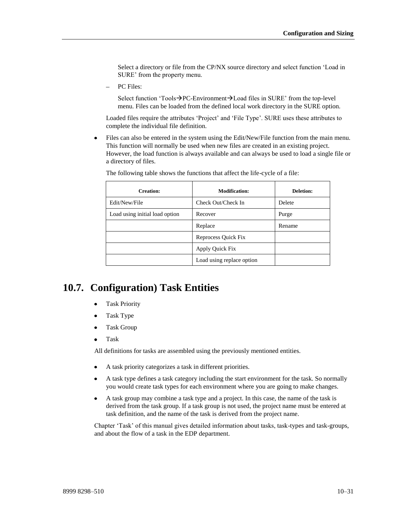Select a directory or file from the CP/NX source directory and select function 'Load in SURE' from the property menu.

PC Files:

Select function 'Tools $\rightarrow$ PC-Environment $\rightarrow$ Load files in SURE' from the top-level menu. Files can be loaded from the defined local work directory in the SURE option.

Loaded files require the attributes 'Project' and 'File Type'. SURE uses these attributes to complete the individual file definition.

Files can also be entered in the system using the Edit/New/File function from the main menu.  $\bullet$ This function will normally be used when new files are created in an existing project. However, the load function is always available and can always be used to load a single file or a directory of files.

| <b>Creation:</b>               | <b>Modification:</b>      | Deletion: |
|--------------------------------|---------------------------|-----------|
| Edit/New/File                  | Check Out/Check In        | Delete    |
| Load using initial load option | Recover                   | Purge     |
|                                | Replace                   | Rename    |
|                                | Reprocess Quick Fix       |           |
|                                | Apply Quick Fix           |           |
|                                | Load using replace option |           |

The following table shows the functions that affect the life-cycle of a file:

## **10.7. Configuration) Task Entities**

- Task Priority
- Task Type
- Task Group  $\bullet$
- Task

All definitions for tasks are assembled using the previously mentioned entities.

- A task priority categorizes a task in different priorities.
- A task type defines a task category including the start environment for the task. So normally you would create task types for each environment where you are going to make changes.
- A task group may combine a task type and a project. In this case, the name of the task is  $\bullet$ derived from the task group. If a task group is not used, the project name must be entered at task definition, and the name of the task is derived from the project name.

Chapter 'Task' of this manual gives detailed information about tasks, task-types and task-groups, and about the flow of a task in the EDP department.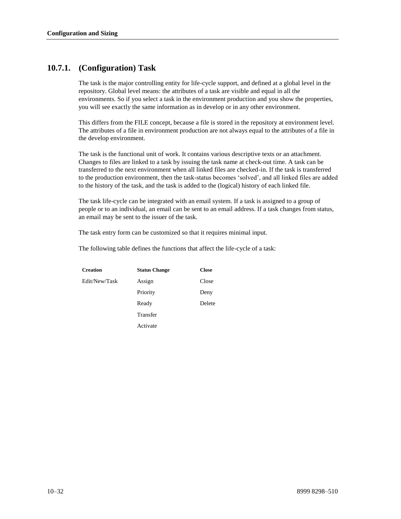## **10.7.1. (Configuration) Task**

The task is the major controlling entity for life-cycle support, and defined at a global level in the repository. Global level means: the attributes of a task are visible and equal in all the environments. So if you select a task in the environment production and you show the properties, you will see exactly the same information as in develop or in any other environment.

This differs from the FILE concept, because a file is stored in the repository at environment level. The attributes of a file in environment production are not always equal to the attributes of a file in the develop environment.

The task is the functional unit of work. It contains various descriptive texts or an attachment. Changes to files are linked to a task by issuing the task name at check-out time. A task can be transferred to the next environment when all linked files are checked-in. If the task is transferred to the production environment, then the task-status becomes 'solved', and all linked files are added to the history of the task, and the task is added to the (logical) history of each linked file.

The task life-cycle can be integrated with an email system. If a task is assigned to a group of people or to an individual, an email can be sent to an email address. If a task changes from status, an email may be sent to the issuer of the task.

The task entry form can be customized so that it requires minimal input.

The following table defines the functions that affect the life-cycle of a task:

| <b>Creation</b> | <b>Status Change</b> | <b>Close</b> |
|-----------------|----------------------|--------------|
| Edit/New/Task   | Assign               | Close        |
|                 | Priority             | Deny         |
|                 | Ready                | Delete       |
|                 | Transfer             |              |
|                 | Activate             |              |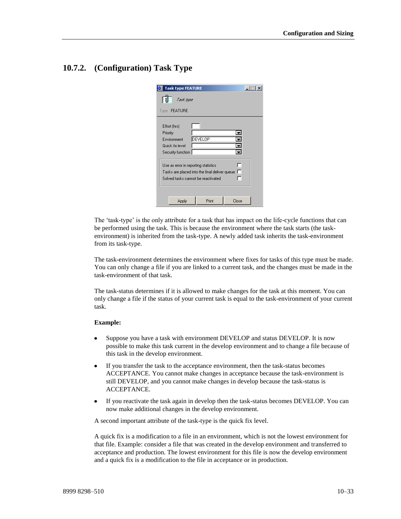## **10.7.2. (Configuration) Task Type**

|                                                            | <b>Task type FEATURE</b> |                                                                                                                                    |       |  |
|------------------------------------------------------------|--------------------------|------------------------------------------------------------------------------------------------------------------------------------|-------|--|
|                                                            | Task type                |                                                                                                                                    |       |  |
| Type <b>FEATURE</b>                                        |                          |                                                                                                                                    |       |  |
| Effort (hrs)<br>Priority<br>Environment<br>Quick fix level | Security function        | <b>DEVELOP</b>                                                                                                                     |       |  |
|                                                            |                          | Use as error in reporting statistics<br>Tasks are placed into the final deliver queue $\Box$<br>Solved tasks cannot be reactivated |       |  |
|                                                            | Apply                    | Print                                                                                                                              | Close |  |

The 'task-type' is the only attribute for a task that has impact on the life-cycle functions that can be performed using the task. This is because the environment where the task starts (the taskenvironment) is inherited from the task-type. A newly added task inherits the task-environment from its task-type.

The task-environment determines the environment where fixes for tasks of this type must be made. You can only change a file if you are linked to a current task, and the changes must be made in the task-environment of that task.

The task-status determines if it is allowed to make changes for the task at this moment. You can only change a file if the status of your current task is equal to the task-environment of your current task.

#### **Example:**

- Suppose you have a task with environment DEVELOP and status DEVELOP. It is now  $\bullet$ possible to make this task current in the develop environment and to change a file because of this task in the develop environment.
- If you transfer the task to the acceptance environment, then the task-status becomes  $\bullet$ ACCEPTANCE. You cannot make changes in acceptance because the task-environment is still DEVELOP, and you cannot make changes in develop because the task-status is ACCEPTANCE.
- If you reactivate the task again in develop then the task-status becomes DEVELOP. You can  $\bullet$ now make additional changes in the develop environment.

A second important attribute of the task-type is the quick fix level.

A quick fix is a modification to a file in an environment, which is not the lowest environment for that file. Example: consider a file that was created in the develop environment and transferred to acceptance and production. The lowest environment for this file is now the develop environment and a quick fix is a modification to the file in acceptance or in production.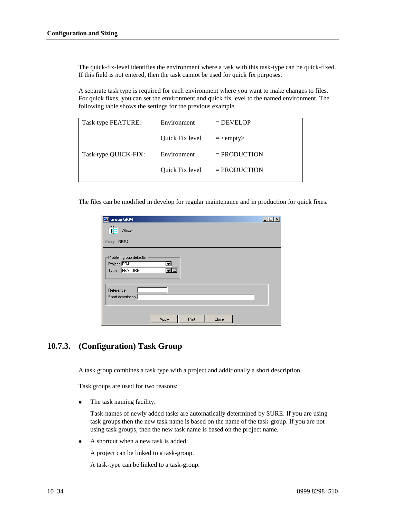The quick-fix-level identifies the environment where a task with this task-type can be quick-fixed. If this field is not entered, then the task cannot be used for quick fix purposes.

A separate task type is required for each environment where you want to make changes to files. For quick fixes, you can set the environment and quick fix level to the named environment. The following table shows the settings for the previous example.

| Task-type FEATURE:   | Environment            | $=$ DEVELOP         |  |
|----------------------|------------------------|---------------------|--|
|                      | <b>Ouick Fix level</b> | $=$ <empty></empty> |  |
| Task-type QUICK-FIX: | Environment            | $=$ PRODUCTION      |  |
|                      | <b>Ouick Fix level</b> | $=$ PRODUCTION      |  |

The files can be modified in develop for regular maintenance and in production for quick fixes.

| <b>Group GRP4</b><br>Ю                                    |         |       |       |  |
|-----------------------------------------------------------|---------|-------|-------|--|
| Group                                                     |         |       |       |  |
| Group GRP4                                                |         |       |       |  |
| Problem group defaults<br>Project PRJ1<br>FEATURE<br>Type | ≖<br>트피 |       |       |  |
| Reference<br>Short description                            |         |       |       |  |
|                                                           | Apply   | Print | Close |  |

## **10.7.3. (Configuration) Task Group**

A task group combines a task type with a project and additionally a short description.

Task groups are used for two reasons:

The task naming facility.

Task-names of newly added tasks are automatically determined by SURE. If you are using task groups then the new task name is based on the name of the task-group. If you are not using task groups, then the new task name is based on the project name.

A shortcut when a new task is added:

A project can be linked to a task-group.

A task-type can be linked to a task-group.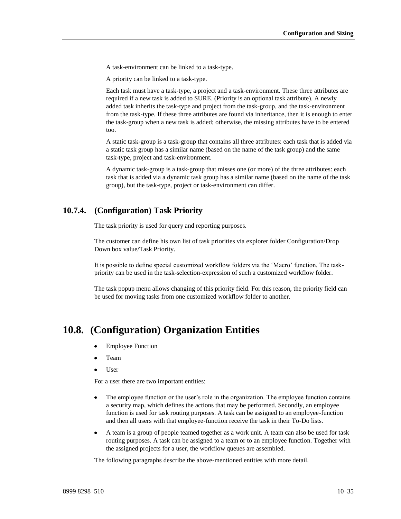A task-environment can be linked to a task-type.

A priority can be linked to a task-type.

Each task must have a task-type, a project and a task-environment. These three attributes are required if a new task is added to SURE. (Priority is an optional task attribute). A newly added task inherits the task-type and project from the task-group, and the task-environment from the task-type. If these three attributes are found via inheritance, then it is enough to enter the task-group when a new task is added; otherwise, the missing attributes have to be entered too.

A static task-group is a task-group that contains all three attributes: each task that is added via a static task group has a similar name (based on the name of the task group) and the same task-type, project and task-environment.

A dynamic task-group is a task-group that misses one (or more) of the three attributes: each task that is added via a dynamic task group has a similar name (based on the name of the task group), but the task-type, project or task-environment can differ.

## **10.7.4. (Configuration) Task Priority**

The task priority is used for query and reporting purposes.

The customer can define his own list of task priorities via explorer folder Configuration/Drop Down box value/Task Priority.

It is possible to define special customized workflow folders via the 'Macro' function. The taskpriority can be used in the task-selection-expression of such a customized workflow folder.

The task popup menu allows changing of this priority field. For this reason, the priority field can be used for moving tasks from one customized workflow folder to another.

## **10.8. (Configuration) Organization Entities**

- Employee Function
- Team
- User

For a user there are two important entities:

- The employee function or the user's role in the organization. The employee function contains  $\bullet$ a security map, which defines the actions that may be performed. Secondly, an employee function is used for task routing purposes. A task can be assigned to an employee-function and then all users with that employee-function receive the task in their To-Do lists.
- A team is a group of people teamed together as a work unit. A team can also be used for task  $\bullet$ routing purposes. A task can be assigned to a team or to an employee function. Together with the assigned projects for a user, the workflow queues are assembled.

The following paragraphs describe the above-mentioned entities with more detail.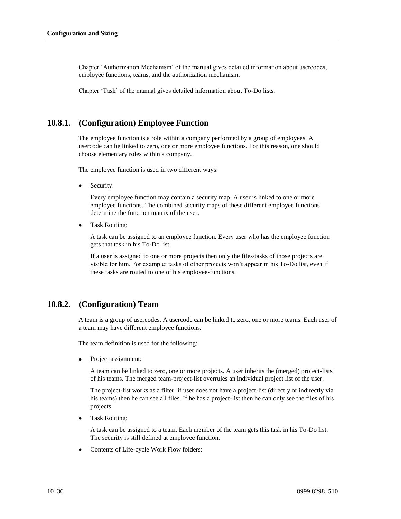Chapter 'Authorization Mechanism' of the manual gives detailed information about usercodes, employee functions, teams, and the authorization mechanism.

Chapter 'Task' of the manual gives detailed information about To-Do lists.

## **10.8.1. (Configuration) Employee Function**

The employee function is a role within a company performed by a group of employees. A usercode can be linked to zero, one or more employee functions. For this reason, one should choose elementary roles within a company.

The employee function is used in two different ways:

Security:

Every employee function may contain a security map. A user is linked to one or more employee functions. The combined security maps of these different employee functions determine the function matrix of the user.

Task Routing:

A task can be assigned to an employee function. Every user who has the employee function gets that task in his To-Do list.

If a user is assigned to one or more projects then only the files/tasks of those projects are visible for him. For example: tasks of other projects won't appear in his To-Do list, even if these tasks are routed to one of his employee-functions.

## **10.8.2. (Configuration) Team**

A team is a group of usercodes. A usercode can be linked to zero, one or more teams. Each user of a team may have different employee functions.

The team definition is used for the following:

 $\bullet$ Project assignment:

> A team can be linked to zero, one or more projects. A user inherits the (merged) project-lists of his teams. The merged team-project-list overrules an individual project list of the user.

> The project-list works as a filter: if user does not have a project-list (directly or indirectly via his teams) then he can see all files. If he has a project-list then he can only see the files of his projects.

Task Routing:

A task can be assigned to a team. Each member of the team gets this task in his To-Do list. The security is still defined at employee function.

Contents of Life-cycle Work Flow folders: